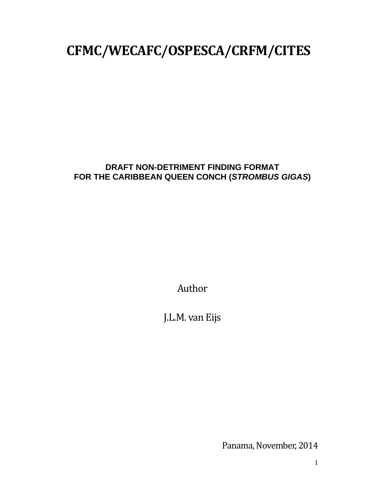# **CFMC/WECAFC/OSPESCA/CRFM/CITES**

## **DRAFT NON-DETRIMENT FINDING FORMAT FOR THE CARIBBEAN QUEEN CONCH (***STROMBUS GIGAS***)**

Author 

J.L.M. van Eijs

Panama, November, 2014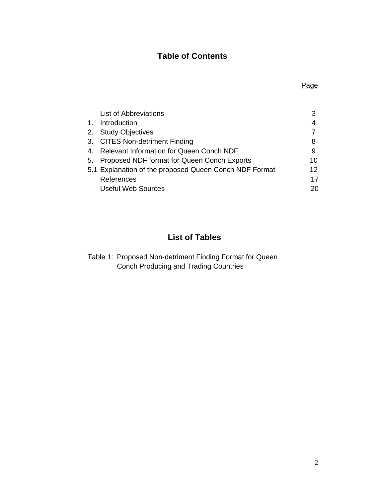# **Table of Contents**

|                | <b>List of Abbreviations</b>                           | 3  |
|----------------|--------------------------------------------------------|----|
| $\mathbf{1}$ . | Introduction                                           | 4  |
| 2.             | <b>Study Objectives</b>                                |    |
|                | 3. CITES Non-detriment Finding                         | 8  |
| 4.             | <b>Relevant Information for Queen Conch NDF</b>        | 9  |
| 5.             | Proposed NDF format for Queen Conch Exports            | 10 |
|                | 5.1 Explanation of the proposed Queen Conch NDF Format | 12 |
|                | References                                             | 17 |
|                | <b>Useful Web Sources</b>                              | 20 |

# **List of Tables**

Table 1: Proposed Non-detriment Finding Format for Queen Conch Producing and Trading Countries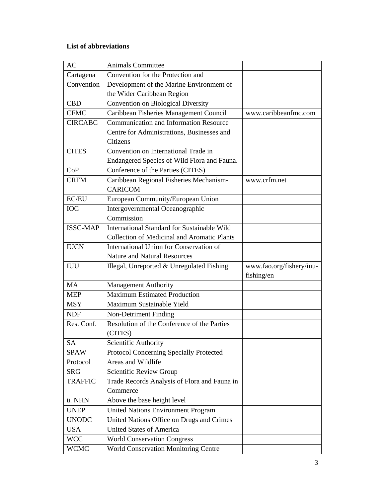## **List of abbreviations**

| <b>AC</b>       | <b>Animals Committee</b>                           |                          |
|-----------------|----------------------------------------------------|--------------------------|
| Cartagena       | Convention for the Protection and                  |                          |
| Convention      | Development of the Marine Environment of           |                          |
|                 | the Wider Caribbean Region                         |                          |
| <b>CBD</b>      | Convention on Biological Diversity                 |                          |
| <b>CFMC</b>     | Caribbean Fisheries Management Council             | www.caribbeanfmc.com     |
| <b>CIRCABC</b>  | <b>Communication and Information Resource</b>      |                          |
|                 | Centre for Administrations, Businesses and         |                          |
|                 | Citizens                                           |                          |
| <b>CITES</b>    | Convention on International Trade in               |                          |
|                 | Endangered Species of Wild Flora and Fauna.        |                          |
| CoP             | Conference of the Parties (CITES)                  |                          |
| <b>CRFM</b>     | Caribbean Regional Fisheries Mechanism-            | www.crfm.net             |
|                 | <b>CARICOM</b>                                     |                          |
| EC/EU           | European Community/European Union                  |                          |
| <b>IOC</b>      | Intergovernmental Oceanographic                    |                          |
|                 | Commission                                         |                          |
| <b>ISSC-MAP</b> | International Standard for Sustainable Wild        |                          |
|                 | <b>Collection of Medicinal and Aromatic Plants</b> |                          |
| <b>IUCN</b>     | International Union for Conservation of            |                          |
|                 | <b>Nature and Natural Resources</b>                |                          |
| <b>IUU</b>      | Illegal, Unreported & Unregulated Fishing          | www.fao.org/fishery/iuu- |
|                 |                                                    | fishing/en               |
| MA              | <b>Management Authority</b>                        |                          |
| <b>MEP</b>      | <b>Maximum Estimated Production</b>                |                          |
| <b>MSY</b>      | Maximum Sustainable Yield                          |                          |
| <b>NDF</b>      | Non-Detriment Finding                              |                          |
| Res. Conf.      | Resolution of the Conference of the Parties        |                          |
|                 | (CITES)                                            |                          |
| <b>SA</b>       | Scientific Authority                               |                          |
| <b>SPAW</b>     | Protocol Concerning Specially Protected            |                          |
| Protocol        | Areas and Wildlife                                 |                          |
| <b>SRG</b>      | Scientific Review Group                            |                          |
| <b>TRAFFIC</b>  | Trade Records Analysis of Flora and Fauna in       |                          |
|                 | Commerce                                           |                          |
| ü. NHN          | Above the base height level                        |                          |
| <b>UNEP</b>     | <b>United Nations Environment Program</b>          |                          |
| <b>UNODC</b>    | United Nations Office on Drugs and Crimes          |                          |
| <b>USA</b>      | <b>United States of America</b>                    |                          |
| <b>WCC</b>      | <b>World Conservation Congress</b>                 |                          |
| <b>WCMC</b>     | <b>World Conservation Monitoring Centre</b>        |                          |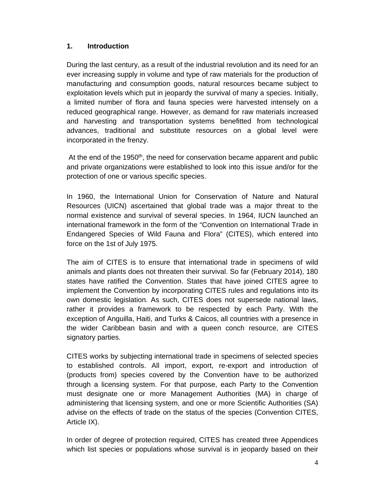#### **1. Introduction**

During the last century, as a result of the industrial revolution and its need for an ever increasing supply in volume and type of raw materials for the production of manufacturing and consumption goods, natural resources became subject to exploitation levels which put in jeopardy the survival of many a species. Initially, a limited number of flora and fauna species were harvested intensely on a reduced geographical range. However, as demand for raw materials increased and harvesting and transportation systems benefitted from technological advances, traditional and substitute resources on a global level were incorporated in the frenzy.

At the end of the 1950<sup>th</sup>, the need for conservation became apparent and public and private organizations were established to look into this issue and/or for the protection of one or various specific species.

In 1960, the International Union for Conservation of Nature and Natural Resources (UICN) ascertained that global trade was a major threat to the normal existence and survival of several species. In 1964, IUCN launched an international framework in the form of the "Convention on International Trade in Endangered Species of Wild Fauna and Flora" (CITES), which entered into force on the 1st of July 1975.

The aim of CITES is to ensure that international trade in specimens of wild animals and plants does not threaten their survival. So far (February 2014), 180 states have ratified the Convention. States that have joined CITES agree to implement the Convention by incorporating CITES rules and regulations into its own domestic legislation. As such, CITES does not supersede national laws, rather it provides a framework to be respected by each Party. With the exception of Anguilla, Haiti, and Turks & Caicos, all countries with a presence in the wider Caribbean basin and with a queen conch resource, are CITES signatory parties.

CITES works by subjecting international trade in specimens of selected species to established controls. All import, export, re-export and introduction of (products from) species covered by the Convention have to be authorized through a licensing system. For that purpose, each Party to the Convention must designate one or more Management Authorities (MA) in charge of administering that licensing system, and one or more Scientific Authorities (SA) advise on the effects of trade on the status of the species (Convention CITES, Article IX).

In order of degree of protection required, CITES has created three Appendices which list species or populations whose survival is in jeopardy based on their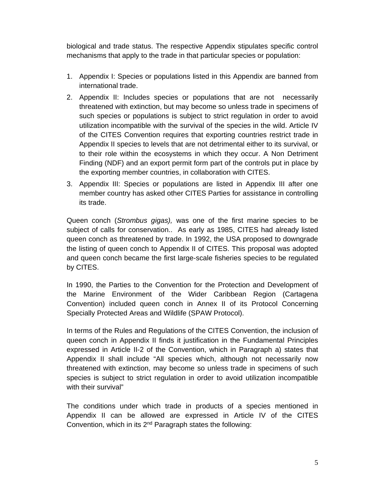biological and trade status. The respective Appendix stipulates specific control mechanisms that apply to the trade in that particular species or population:

- 1. Appendix I: Species or populations listed in this Appendix are banned from international trade.
- 2. Appendix II: Includes species or populations that are not necessarily threatened with extinction, but may become so unless trade in specimens of such species or populations is subject to strict regulation in order to avoid utilization incompatible with the survival of the species in the wild. Article IV of the CITES Convention requires that exporting countries restrict trade in Appendix II species to levels that are not detrimental either to its survival, or to their role within the ecosystems in which they occur. A Non Detriment Finding (NDF) and an export permit form part of the controls put in place by the exporting member countries, in collaboration with CITES.
- 3. Appendix III: Species or populations are listed in Appendix III after one member country has asked other CITES Parties for assistance in controlling its trade.

Queen conch (*Strombus gigas),* was one of the first marine species to be subject of calls for conservation.. As early as 1985, CITES had already listed queen conch as threatened by trade. In 1992, the USA proposed to downgrade the listing of queen conch to Appendix II of CITES. This proposal was adopted and queen conch became the first large-scale fisheries species to be regulated by CITES.

In 1990, the Parties to the Convention for the Protection and Development of the Marine Environment of the Wider Caribbean Region (Cartagena Convention) included queen conch in Annex II of its Protocol Concerning Specially Protected Areas and Wildlife (SPAW Protocol).

In terms of the Rules and Regulations of the CITES Convention, the inclusion of queen conch in Appendix II finds it justification in the Fundamental Principles expressed in Article II-2 of the Convention, which in Paragraph a) states that Appendix II shall include "All species which, although not necessarily now threatened with extinction, may become so unless trade in specimens of such species is subject to strict regulation in order to avoid utilization incompatible with their survival"

The conditions under which trade in products of a species mentioned in Appendix II can be allowed are expressed in Article IV of the CITES Convention, which in its 2<sup>nd</sup> Paragraph states the following: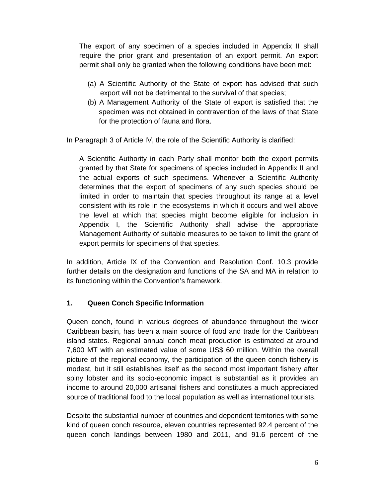The export of any specimen of a species included in Appendix II shall require the prior grant and presentation of an export permit. An export permit shall only be granted when the following conditions have been met:

- (a) A Scientific Authority of the State of export has advised that such export will not be detrimental to the survival of that species;
- (b) A Management Authority of the State of export is satisfied that the specimen was not obtained in contravention of the laws of that State for the protection of fauna and flora.

In Paragraph 3 of Article IV, the role of the Scientific Authority is clarified:

A Scientific Authority in each Party shall monitor both the export permits granted by that State for specimens of species included in Appendix II and the actual exports of such specimens. Whenever a Scientific Authority determines that the export of specimens of any such species should be limited in order to maintain that species throughout its range at a level consistent with its role in the ecosystems in which it occurs and well above the level at which that species might become eligible for inclusion in Appendix I, the Scientific Authority shall advise the appropriate Management Authority of suitable measures to be taken to limit the grant of export permits for specimens of that species.

In addition, Article IX of the Convention and Resolution Conf. 10.3 provide further details on the designation and functions of the SA and MA in relation to its functioning within the Convention's framework.

#### **1. Queen Conch Specific Information**

Queen conch, found in various degrees of abundance throughout the wider Caribbean basin, has been a main source of food and trade for the Caribbean island states. Regional annual conch meat production is estimated at around 7,600 MT with an estimated value of some US\$ 60 million. Within the overall picture of the regional economy, the participation of the queen conch fishery is modest, but it still establishes itself as the second most important fishery after spiny lobster and its socio-economic impact is substantial as it provides an income to around 20,000 artisanal fishers and constitutes a much appreciated source of traditional food to the local population as well as international tourists.

Despite the substantial number of countries and dependent territories with some kind of queen conch resource, eleven countries represented 92.4 percent of the queen conch landings between 1980 and 2011, and 91.6 percent of the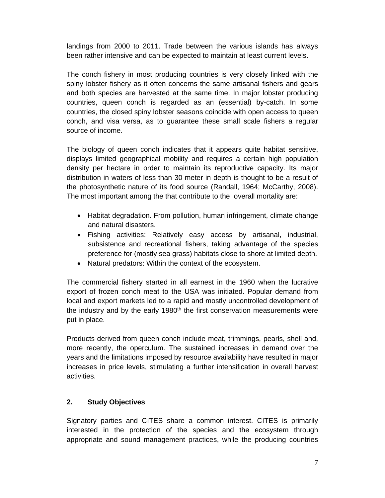landings from 2000 to 2011. Trade between the various islands has always been rather intensive and can be expected to maintain at least current levels.

The conch fishery in most producing countries is very closely linked with the spiny lobster fishery as it often concerns the same artisanal fishers and gears and both species are harvested at the same time. In major lobster producing countries, queen conch is regarded as an (essential) by-catch. In some countries, the closed spiny lobster seasons coincide with open access to queen conch, and visa versa, as to guarantee these small scale fishers a regular source of income.

The biology of queen conch indicates that it appears quite habitat sensitive, displays limited geographical mobility and requires a certain high population density per hectare in order to maintain its reproductive capacity. Its major distribution in waters of less than 30 meter in depth is thought to be a result of the photosynthetic nature of its food source (Randall, 1964; McCarthy, 2008). The most important among the that contribute to the overall mortality are:

- Habitat degradation. From pollution, human infringement, climate change and natural disasters.
- Fishing activities: Relatively easy access by artisanal, industrial, subsistence and recreational fishers, taking advantage of the species preference for (mostly sea grass) habitats close to shore at limited depth.
- Natural predators: Within the context of the ecosystem.

The commercial fishery started in all earnest in the 1960 when the lucrative export of frozen conch meat to the USA was initiated. Popular demand from local and export markets led to a rapid and mostly uncontrolled development of the industry and by the early 1980<sup>th</sup> the first conservation measurements were put in place.

Products derived from queen conch include meat, trimmings, pearls, shell and, more recently, the operculum. The sustained increases in demand over the years and the limitations imposed by resource availability have resulted in major increases in price levels, stimulating a further intensification in overall harvest activities.

#### **2. Study Objectives**

Signatory parties and CITES share a common interest. CITES is primarily interested in the protection of the species and the ecosystem through appropriate and sound management practices, while the producing countries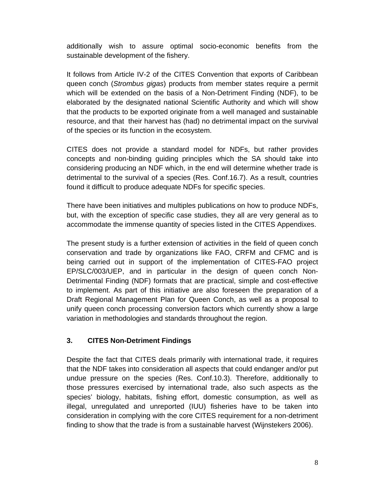additionally wish to assure optimal socio-economic benefits from the sustainable development of the fishery.

It follows from Article IV-2 of the CITES Convention that exports of Caribbean queen conch (*Strombus gigas*) products from member states require a permit which will be extended on the basis of a Non-Detriment Finding (NDF), to be elaborated by the designated national Scientific Authority and which will show that the products to be exported originate from a well managed and sustainable resource, and that their harvest has (had) no detrimental impact on the survival of the species or its function in the ecosystem.

CITES does not provide a standard model for NDFs, but rather provides concepts and non-binding guiding principles which the SA should take into considering producing an NDF which, in the end will determine whether trade is detrimental to the survival of a species (Res. Conf.16.7). As a result, countries found it difficult to produce adequate NDFs for specific species.

There have been initiatives and multiples publications on how to produce NDFs, but, with the exception of specific case studies, they all are very general as to accommodate the immense quantity of species listed in the CITES Appendixes.

The present study is a further extension of activities in the field of queen conch conservation and trade by organizations like FAO, CRFM and CFMC and is being carried out in support of the implementation of CITES-FAO project EP/SLC/003/UEP, and in particular in the design of queen conch Non-Detrimental Finding (NDF) formats that are practical, simple and cost-effective to implement. As part of this initiative are also foreseen the preparation of a Draft Regional Management Plan for Queen Conch, as well as a proposal to unify queen conch processing conversion factors which currently show a large variation in methodologies and standards throughout the region.

#### **3. CITES Non-Detriment Findings**

Despite the fact that CITES deals primarily with international trade, it requires that the NDF takes into consideration all aspects that could endanger and/or put undue pressure on the species (Res. Conf.10.3). Therefore, additionally to those pressures exercised by international trade, also such aspects as the species' biology, habitats, fishing effort, domestic consumption, as well as illegal, unregulated and unreported (IUU) fisheries have to be taken into consideration in complying with the core CITES requirement for a non-detriment finding to show that the trade is from a sustainable harvest (Wijnstekers 2006).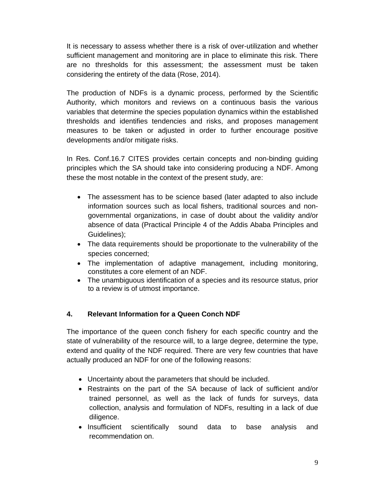It is necessary to assess whether there is a risk of over-utilization and whether sufficient management and monitoring are in place to eliminate this risk. There are no thresholds for this assessment; the assessment must be taken considering the entirety of the data (Rose, 2014).

The production of NDFs is a dynamic process, performed by the Scientific Authority, which monitors and reviews on a continuous basis the various variables that determine the species population dynamics within the established thresholds and identifies tendencies and risks, and proposes management measures to be taken or adjusted in order to further encourage positive developments and/or mitigate risks.

In Res. Conf.16.7 CITES provides certain concepts and non-binding guiding principles which the SA should take into considering producing a NDF. Among these the most notable in the context of the present study, are:

- The assessment has to be science based (later adapted to also include information sources such as local fishers, traditional sources and nongovernmental organizations, in case of doubt about the validity and/or absence of data (Practical Principle 4 of the Addis Ababa Principles and Guidelines);
- The data requirements should be proportionate to the vulnerability of the species concerned;
- The implementation of adaptive management, including monitoring, constitutes a core element of an NDF.
- The unambiguous identification of a species and its resource status, prior to a review is of utmost importance.

#### **4. Relevant Information for a Queen Conch NDF**

The importance of the queen conch fishery for each specific country and the state of vulnerability of the resource will, to a large degree, determine the type, extend and quality of the NDF required. There are very few countries that have actually produced an NDF for one of the following reasons:

- Uncertainty about the parameters that should be included.
- Restraints on the part of the SA because of lack of sufficient and/or trained personnel, as well as the lack of funds for surveys, data collection, analysis and formulation of NDFs, resulting in a lack of due diligence.
- Insufficient scientifically sound data to base analysis and recommendation on.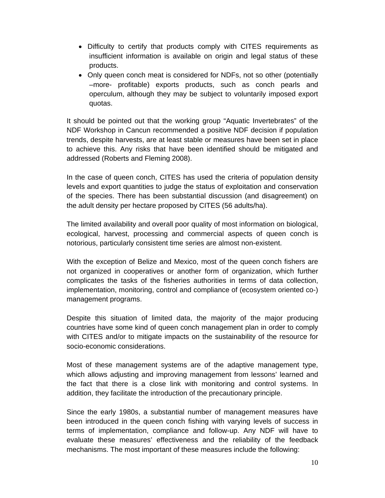- Difficulty to certify that products comply with CITES requirements as insufficient information is available on origin and legal status of these products.
- Only queen conch meat is considered for NDFs, not so other (potentially –more- profitable) exports products, such as conch pearls and operculum, although they may be subject to voluntarily imposed export quotas.

It should be pointed out that the working group "Aquatic Invertebrates" of the NDF Workshop in Cancun recommended a positive NDF decision if population trends, despite harvests, are at least stable or measures have been set in place to achieve this. Any risks that have been identified should be mitigated and addressed (Roberts and Fleming 2008).

In the case of queen conch, CITES has used the criteria of population density levels and export quantities to judge the status of exploitation and conservation of the species. There has been substantial discussion (and disagreement) on the adult density per hectare proposed by CITES (56 adults/ha).

The limited availability and overall poor quality of most information on biological, ecological, harvest, processing and commercial aspects of queen conch is notorious, particularly consistent time series are almost non-existent.

With the exception of Belize and Mexico, most of the queen conch fishers are not organized in cooperatives or another form of organization, which further complicates the tasks of the fisheries authorities in terms of data collection, implementation, monitoring, control and compliance of (ecosystem oriented co-) management programs.

Despite this situation of limited data, the majority of the major producing countries have some kind of queen conch management plan in order to comply with CITES and/or to mitigate impacts on the sustainability of the resource for socio-economic considerations.

Most of these management systems are of the adaptive management type, which allows adjusting and improving management from lessons' learned and the fact that there is a close link with monitoring and control systems. In addition, they facilitate the introduction of the precautionary principle.

Since the early 1980s, a substantial number of management measures have been introduced in the queen conch fishing with varying levels of success in terms of implementation, compliance and follow-up. Any NDF will have to evaluate these measures' effectiveness and the reliability of the feedback mechanisms. The most important of these measures include the following: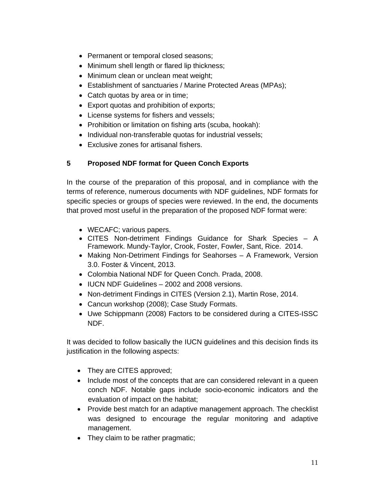- Permanent or temporal closed seasons;
- Minimum shell length or flared lip thickness;
- Minimum clean or unclean meat weight;
- Establishment of sanctuaries / Marine Protected Areas (MPAs);
- Catch quotas by area or in time;
- Export quotas and prohibition of exports;
- License systems for fishers and vessels;
- Prohibition or limitation on fishing arts (scuba, hookah):
- Individual non-transferable quotas for industrial vessels;
- Exclusive zones for artisanal fishers.

## **5 Proposed NDF format for Queen Conch Exports**

In the course of the preparation of this proposal, and in compliance with the terms of reference, numerous documents with NDF guidelines, NDF formats for specific species or groups of species were reviewed. In the end, the documents that proved most useful in the preparation of the proposed NDF format were:

- WECAFC; various papers.
- CITES Non-detriment Findings Guidance for Shark Species A Framework. Mundy-Taylor, Crook, Foster, Fowler, Sant, Rice. 2014.
- Making Non-Detriment Findings for Seahorses A Framework, Version 3.0. Foster & Vincent, 2013.
- Colombia National NDF for Queen Conch. Prada, 2008.
- IUCN NDF Guidelines 2002 and 2008 versions.
- Non-detriment Findings in CITES (Version 2.1), Martin Rose, 2014.
- Cancun workshop (2008); Case Study Formats.
- Uwe Schippmann (2008) Factors to be considered during a CITES-ISSC NDF.

It was decided to follow basically the IUCN guidelines and this decision finds its justification in the following aspects:

- They are CITES approved;
- Include most of the concepts that are can considered relevant in a queen conch NDF. Notable gaps include socio-economic indicators and the evaluation of impact on the habitat;
- Provide best match for an adaptive management approach. The checklist was designed to encourage the regular monitoring and adaptive management.
- They claim to be rather pragmatic;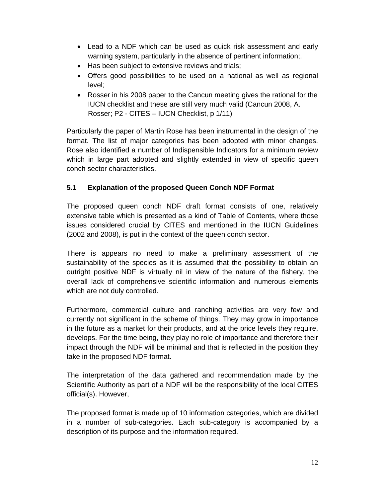- Lead to a NDF which can be used as quick risk assessment and early warning system, particularly in the absence of pertinent information;.
- Has been subject to extensive reviews and trials;
- Offers good possibilities to be used on a national as well as regional level;
- Rosser in his 2008 paper to the Cancun meeting gives the rational for the IUCN checklist and these are still very much valid (Cancun 2008, A. Rosser; P2 - CITES – IUCN Checklist, p 1/11)

Particularly the paper of Martin Rose has been instrumental in the design of the format. The list of major categories has been adopted with minor changes. Rose also identified a number of Indispensible Indicators for a minimum review which in large part adopted and slightly extended in view of specific queen conch sector characteristics.

## **5.1 Explanation of the proposed Queen Conch NDF Format**

The proposed queen conch NDF draft format consists of one, relatively extensive table which is presented as a kind of Table of Contents, where those issues considered crucial by CITES and mentioned in the IUCN Guidelines (2002 and 2008), is put in the context of the queen conch sector.

There is appears no need to make a preliminary assessment of the sustainability of the species as it is assumed that the possibility to obtain an outright positive NDF is virtually nil in view of the nature of the fishery, the overall lack of comprehensive scientific information and numerous elements which are not duly controlled.

Furthermore, commercial culture and ranching activities are very few and currently not significant in the scheme of things. They may grow in importance in the future as a market for their products, and at the price levels they require, develops. For the time being, they play no role of importance and therefore their impact through the NDF will be minimal and that is reflected in the position they take in the proposed NDF format.

The interpretation of the data gathered and recommendation made by the Scientific Authority as part of a NDF will be the responsibility of the local CITES official(s). However,

The proposed format is made up of 10 information categories, which are divided in a number of sub-categories. Each sub-category is accompanied by a description of its purpose and the information required.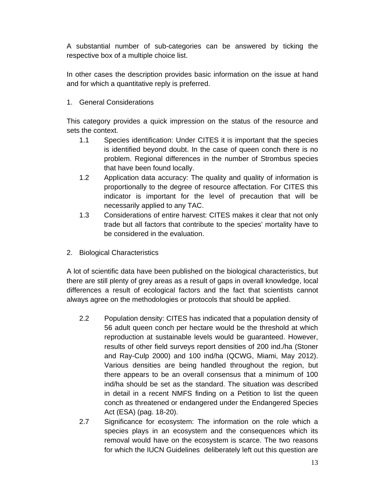A substantial number of sub-categories can be answered by ticking the respective box of a multiple choice list.

In other cases the description provides basic information on the issue at hand and for which a quantitative reply is preferred.

## 1. General Considerations

This category provides a quick impression on the status of the resource and sets the context.

- 1.1 Species identification: Under CITES it is important that the species is identified beyond doubt. In the case of queen conch there is no problem. Regional differences in the number of Strombus species that have been found locally.
- 1.2 Application data accuracy: The quality and quality of information is proportionally to the degree of resource affectation. For CITES this indicator is important for the level of precaution that will be necessarily applied to any TAC.
- 1.3 Considerations of entire harvest: CITES makes it clear that not only trade but all factors that contribute to the species' mortality have to be considered in the evaluation.
- 2. Biological Characteristics

A lot of scientific data have been published on the biological characteristics, but there are still plenty of grey areas as a result of gaps in overall knowledge, local differences a result of ecological factors and the fact that scientists cannot always agree on the methodologies or protocols that should be applied.

- 2.2 Population density: CITES has indicated that a population density of 56 adult queen conch per hectare would be the threshold at which reproduction at sustainable levels would be guaranteed. However, results of other field surveys report densities of 200 ind./ha (Stoner and Ray-Culp 2000) and 100 ind/ha (QCWG, Miami, May 2012). Various densities are being handled throughout the region, but there appears to be an overall consensus that a minimum of 100 ind/ha should be set as the standard. The situation was described in detail in a recent NMFS finding on a Petition to list the queen conch as threatened or endangered under the Endangered Species Act (ESA) (pag. 18-20).
- 2.7 Significance for ecosystem: The information on the role which a species plays in an ecosystem and the consequences which its removal would have on the ecosystem is scarce. The two reasons for which the IUCN Guidelines deliberately left out this question are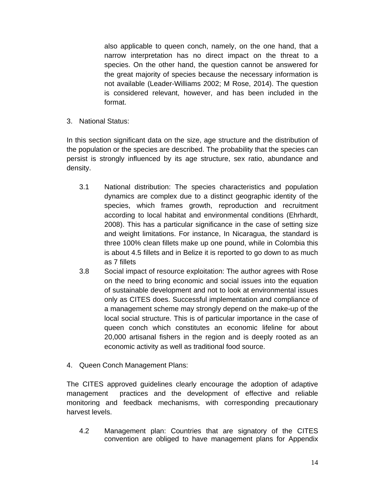also applicable to queen conch, namely, on the one hand, that a narrow interpretation has no direct impact on the threat to a species. On the other hand, the question cannot be answered for the great majority of species because the necessary information is not available (Leader-Williams 2002; M Rose, 2014). The question is considered relevant, however, and has been included in the format.

3. National Status:

In this section significant data on the size, age structure and the distribution of the population or the species are described. The probability that the species can persist is strongly influenced by its age structure, sex ratio, abundance and density.

- 3.1 National distribution: The species characteristics and population dynamics are complex due to a distinct geographic identity of the species, which frames growth, reproduction and recruitment according to local habitat and environmental conditions (Ehrhardt, 2008). This has a particular significance in the case of setting size and weight limitations. For instance, In Nicaragua, the standard is three 100% clean fillets make up one pound, while in Colombia this is about 4.5 fillets and in Belize it is reported to go down to as much as 7 fillets
- 3.8 Social impact of resource exploitation: The author agrees with Rose on the need to bring economic and social issues into the equation of sustainable development and not to look at environmental issues only as CITES does. Successful implementation and compliance of a management scheme may strongly depend on the make-up of the local social structure. This is of particular importance in the case of queen conch which constitutes an economic lifeline for about 20,000 artisanal fishers in the region and is deeply rooted as an economic activity as well as traditional food source.
- 4. Queen Conch Management Plans:

The CITES approved guidelines clearly encourage the adoption of adaptive management practices and the development of effective and reliable monitoring and feedback mechanisms, with corresponding precautionary harvest levels.

4.2 Management plan: Countries that are signatory of the CITES convention are obliged to have management plans for Appendix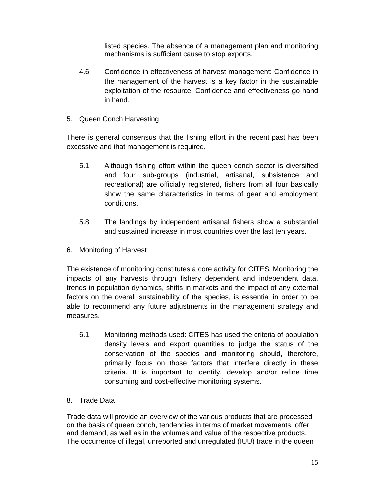listed species. The absence of a management plan and monitoring mechanisms is sufficient cause to stop exports.

- 4.6 Confidence in effectiveness of harvest management: Confidence in the management of the harvest is a key factor in the sustainable exploitation of the resource. Confidence and effectiveness go hand in hand.
- 5. Queen Conch Harvesting

There is general consensus that the fishing effort in the recent past has been excessive and that management is required.

- 5.1 Although fishing effort within the queen conch sector is diversified and four sub-groups (industrial, artisanal, subsistence and recreational) are officially registered, fishers from all four basically show the same characteristics in terms of gear and employment conditions.
- 5.8 The landings by independent artisanal fishers show a substantial and sustained increase in most countries over the last ten years.
- 6. Monitoring of Harvest

The existence of monitoring constitutes a core activity for CITES. Monitoring the impacts of any harvests through fishery dependent and independent data, trends in population dynamics, shifts in markets and the impact of any external factors on the overall sustainability of the species, is essential in order to be able to recommend any future adjustments in the management strategy and measures.

- 6.1 Monitoring methods used: CITES has used the criteria of population density levels and export quantities to judge the status of the conservation of the species and monitoring should, therefore, primarily focus on those factors that interfere directly in these criteria. It is important to identify, develop and/or refine time consuming and cost-effective monitoring systems.
- 8. Trade Data

Trade data will provide an overview of the various products that are processed on the basis of queen conch, tendencies in terms of market movements, offer and demand, as well as in the volumes and value of the respective products. The occurrence of illegal, unreported and unregulated (IUU) trade in the queen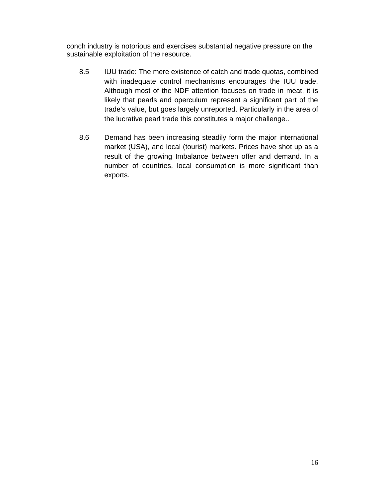conch industry is notorious and exercises substantial negative pressure on the sustainable exploitation of the resource.

- 8.5 IUU trade: The mere existence of catch and trade quotas, combined with inadequate control mechanisms encourages the IUU trade. Although most of the NDF attention focuses on trade in meat, it is likely that pearls and operculum represent a significant part of the trade's value, but goes largely unreported. Particularly in the area of the lucrative pearl trade this constitutes a major challenge..
- 8.6 Demand has been increasing steadily form the major international market (USA), and local (tourist) markets. Prices have shot up as a result of the growing Imbalance between offer and demand. In a number of countries, local consumption is more significant than exports.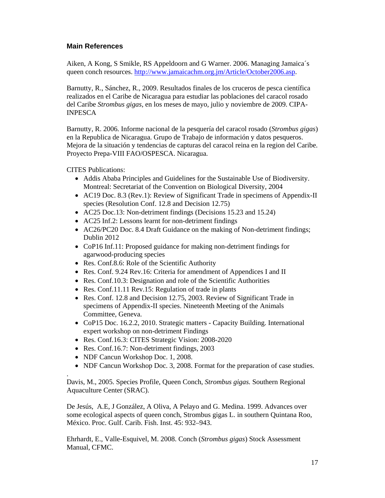#### **Main References**

Aiken, A Kong, S Smikle, RS Appeldoorn and G Warner. 2006. Managing Jamaica´s queen conch resources. http://www.jamaicachm.org.jm/Article/October2006.asp.

Barnutty, R., Sánchez, R., 2009. Resultados finales de los cruceros de pesca científica realizados en el Caribe de Nicaragua para estudiar las poblaciones del caracol rosado del Caribe *Strombus gigas*, en los meses de mayo, julio y noviembre de 2009. CIPA-INPESCA

Barnutty, R. 2006. Informe nacional de la pesquería del caracol rosado (*Strombus gigas*) en la Republica de Nicaragua. Grupo de Trabajo de información y datos pesqueros. Mejora de la situación y tendencias de capturas del caracol reina en la region del Caribe. Proyecto Prepa-VIII FAO/OSPESCA. Nicaragua.

CITES Publications:

.

- Addis Ababa Principles and Guidelines for the Sustainable Use of Biodiversity. Montreal: Secretariat of the Convention on Biological Diversity, 2004
- AC19 Doc. 8.3 (Rev.1): Review of Significant Trade in specimens of Appendix-II species (Resolution Conf. 12.8 and Decision 12.75)
- AC25 Doc.13: Non-detriment findings (Decisions 15.23 and 15.24)
- AC25 Inf.2: Lessons learnt for non-detriment findings
- AC26/PC20 Doc. 8.4 Draft Guidance on the making of Non-detriment findings; Dublin 2012
- CoP16 Inf.11: Proposed guidance for making non-detriment findings for agarwood-producing species
- Res. Conf.8.6: Role of the Scientific Authority
- Res. Conf. 9.24 Rev. 16: Criteria for amendment of Appendices I and II
- Res. Conf.10.3: Designation and role of the Scientific Authorities
- Res. Conf.11.11 Rev.15: Regulation of trade in plants
- Res. Conf. 12.8 and Decision 12.75, 2003. Review of Significant Trade in specimens of Appendix-II species. Nineteenth Meeting of the Animals Committee, Geneva.
- CoP15 Doc. 16.2.2, 2010. Strategic matters Capacity Building. International expert workshop on non-detriment Findings
- Res. Conf.16.3: CITES Strategic Vision: 2008-2020
- Res. Conf.16.7: Non-detriment findings, 2003
- NDF Cancun Workshop Doc. 1, 2008.
- NDF Cancun Workshop Doc. 3, 2008. Format for the preparation of case studies.

Davis, M., 2005. Species Profile, Queen Conch, *Strombus gigas.* Southern Regional Aquaculture Center (SRAC).

De Jesús, A.E, J González, A Oliva, A Pelayo and G. Medina. 1999. Advances over some ecological aspects of queen conch, Strombus gigas L. in southern Quintana Roo, México. Proc. Gulf. Carib. Fish. Inst. 45: 932–943.

Ehrhardt, E., Valle-Esquivel, M. 2008. Conch (*Strombus gigas*) Stock Assessment Manual, CFMC.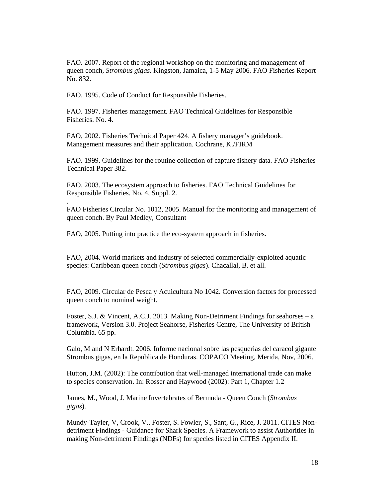FAO. 2007. Report of the regional workshop on the monitoring and management of queen conch, *Strombus gigas*. Kingston, Jamaica, 1-5 May 2006*.* FAO Fisheries Report No. 832.

FAO. 1995. Code of Conduct for Responsible Fisheries.

.

FAO. 1997. Fisheries management. FAO Technical Guidelines for Responsible Fisheries. No. 4.

FAO, 2002. Fisheries Technical Paper 424. A fishery manager's guidebook. Management measures and their application. Cochrane, K./FIRM

FAO. 1999. Guidelines for the routine collection of capture fishery data. FAO Fisheries Technical Paper 382.

FAO. 2003. The ecosystem approach to fisheries. FAO Technical Guidelines for Responsible Fisheries. No. 4, Suppl. 2.

FAO Fisheries Circular No. 1012, 2005. Manual for the monitoring and management of queen conch. By Paul Medley, Consultant

FAO, 2005. Putting into practice the eco-system approach in fisheries.

FAO, 2004. World markets and industry of selected commercially-exploited aquatic species: Caribbean queen conch (*Strombus gigas*). Chacallal, B. et all.

FAO, 2009. Circular de Pesca y Acuicultura No 1042. Conversion factors for processed queen conch to nominal weight.

Foster, S.J. & Vincent, A.C.J. 2013. Making Non-Detriment Findings for seahorses – a framework, Version 3.0. Project Seahorse, Fisheries Centre, The University of British Columbia. 65 pp.

Galo, M and N Erhardt. 2006. Informe nacional sobre las pesquerias del caracol gigante Strombus gigas, en la Republica de Honduras. COPACO Meeting, Merida, Nov, 2006.

Hutton, J.M. (2002): The contribution that well-managed international trade can make to species conservation. In: Rosser and Haywood (2002): Part 1, Chapter 1.2

James, M., Wood, J. Marine Invertebrates of Bermuda - Queen Conch (*Strombus gigas*).

Mundy-Tayler, V, Crook, V., Foster, S. Fowler, S., Sant, G., Rice, J. 2011. CITES Nondetriment Findings - Guidance for Shark Species. A Framework to assist Authorities in making Non-detriment Findings (NDFs) for species listed in CITES Appendix II.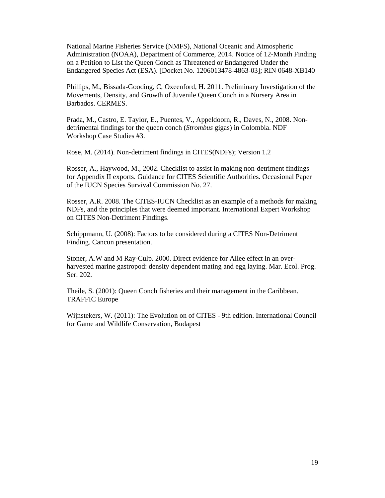National Marine Fisheries Service (NMFS), National Oceanic and Atmospheric Administration (NOAA), Department of Commerce, 2014. Notice of 12-Month Finding on a Petition to List the Queen Conch as Threatened or Endangered Under the Endangered Species Act (ESA). [Docket No. 1206013478-4863-03]; RIN 0648-XB140

Phillips, M., Bissada-Gooding, C, Oxeenford, H. 2011. Preliminary Investigation of the Movements, Density, and Growth of Juvenile Queen Conch in a Nursery Area in Barbados. CERMES.

Prada, M., Castro, E. Taylor, E., Puentes, V., Appeldoorn, R., Daves, N., 2008. Nondetrimental findings for the queen conch (*Strombus* gigas) in Colombia. NDF Workshop Case Studies #3.

Rose, M. (2014). Non-detriment findings in CITES(NDFs); Version 1.2

Rosser, A., Haywood, M., 2002. Checklist to assist in making non-detriment findings for Appendix II exports. Guidance for CITES Scientific Authorities. Occasional Paper of the IUCN Species Survival Commission No. 27.

Rosser, A.R. 2008. The CITES-IUCN Checklist as an example of a methods for making NDFs, and the principles that were deemed important. International Expert Workshop on CITES Non-Detriment Findings.

Schippmann, U. (2008): Factors to be considered during a CITES Non-Detriment Finding. Cancun presentation.

Stoner, A.W and M Ray-Culp. 2000. Direct evidence for Allee effect in an overharvested marine gastropod: density dependent mating and egg laying. Mar. Ecol. Prog. Ser. 202.

Theile, S. (2001): Queen Conch fisheries and their management in the Caribbean. TRAFFIC Europe

Wijnstekers, W. (2011): The Evolution on of CITES - 9th edition. International Council for Game and Wildlife Conservation, Budapest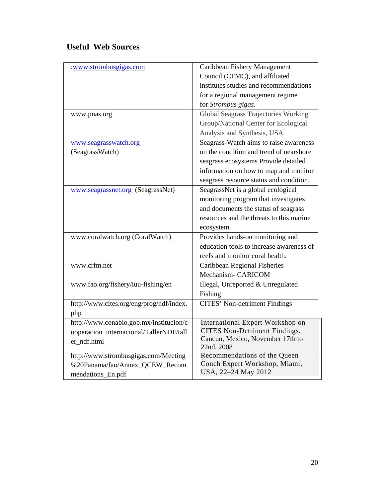## **Useful Web Sources**

| :www.strombusgigas.com                   | Caribbean Fishery Management               |
|------------------------------------------|--------------------------------------------|
|                                          | Council (CFMC), and affiliated             |
|                                          | institutes studies and recommendations     |
|                                          | for a regional management regime           |
|                                          | for Strombus gigas.                        |
| www.pnas.org                             | Global Seagrass Trajectories Working       |
|                                          | Group/National Center for Ecological       |
|                                          | Analysis and Synthesis, USA                |
| www.seagrasswatch.org                    | Seagrass-Watch aims to raise awareness     |
| (SeagrassWatch)                          | on the condition and trend of nearshore    |
|                                          | seagrass ecosystems Provide detailed       |
|                                          | information on how to map and monitor      |
|                                          | seagrass resource status and condition.    |
| www.seagrassnet.org (SeagrassNet)        | SeagrassNet is a global ecological         |
|                                          | monitoring program that investigates       |
|                                          | and documents the status of seagrass       |
|                                          | resources and the threats to this marine   |
|                                          | ecosystem.                                 |
| www.coralwatch.org (CoralWatch)          | Provides hands-on monitoring and           |
|                                          | education tools to increase awareness of   |
|                                          | reefs and monitor coral health.            |
| www.crfm.net                             | Caribbean Regional Fisheries               |
|                                          | Mechanism- CARICOM                         |
| www.fao.org/fishery/iuu-fishing/en       | Illegal, Unreported & Unregulated          |
|                                          | Fishing                                    |
| http://www.cites.org/eng/prog/ndf/index. | <b>CITES' Non-detriment Findings</b>       |
| php                                      |                                            |
| http://www.conabio.gob.mx/institucion/c  | International Expert Workshop on           |
| ooperacion_internacional/TallerNDF/tall  | <b>CITES Non-Detriment Findings.</b>       |
| er_ndf.html                              | Cancun, Mexico, November 17th to           |
| http://www.strombusgigas.com/Meeting     | 22nd, 2008<br>Recommendations of the Queen |
| %20Panama/fao/Annex_QCEW_Recom           | Conch Expert Workshop, Miami,              |
| mendations_En.pdf                        | USA, 22-24 May 2012                        |
|                                          |                                            |